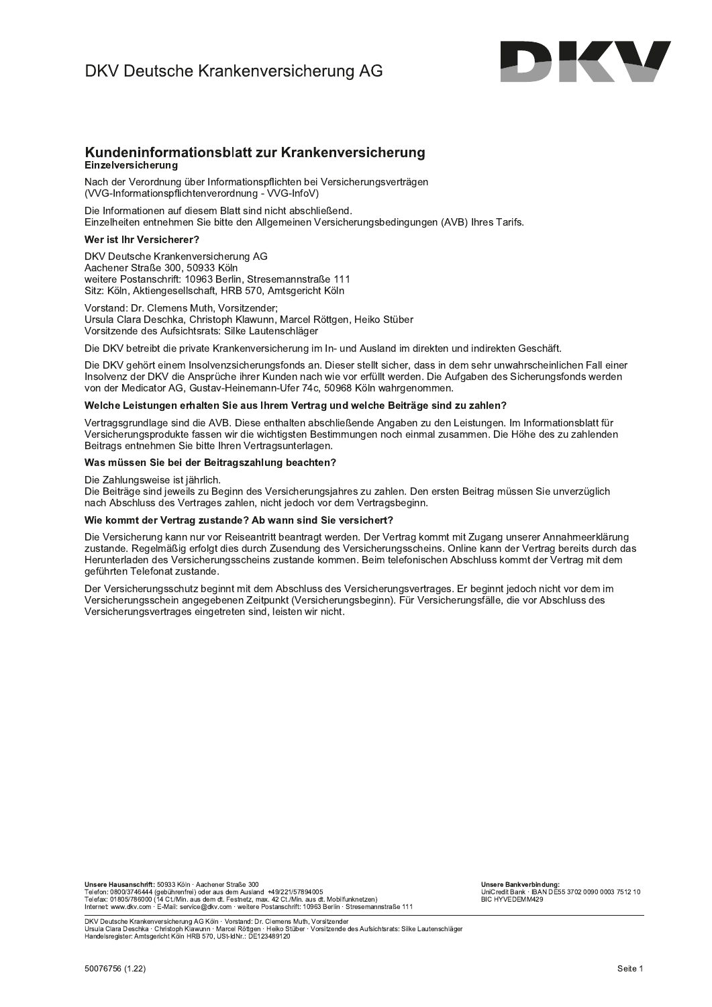

### Kundeninformationsblatt zur Krankenversicherung Einzelversicherung

Nach der Verordnung über Informationspflichten bei Versicherungsverträgen (VVG-Informationspflichtenverordnung - VVG-InfoV)

Die Informationen auf diesem Blatt sind nicht abschließend. Einzelheiten entnehmen Sie bitte den Allgemeinen Versicherungsbedingungen (AVB) Ihres Tarifs.

#### Wer ist Ihr Versicherer?

DKV Deutsche Krankenversicherung AG Aachener Straße 300, 50933 Köln weitere Postanschrift: 10963 Berlin, Stresemannstraße 111 Sitz: Köln, Aktiengesellschaft, HRB 570, Amtsgericht Köln

Vorstand: Dr. Clemens Muth, Vorsitzender; Ursula Clara Deschka, Christoph Klawunn, Marcel Röttgen, Heiko Stüber Vorsitzende des Aufsichtsrats: Silke Lautenschläger

Die DKV betreibt die private Krankenversicherung im In- und Ausland im direkten und indirekten Geschäft.

Die DKV gehört einem Insolvenzsicherungsfonds an. Dieser stellt sicher, dass in dem sehr unwahrscheinlichen Fall einer Insolvenz der DKV die Ansprüche ihrer Kunden nach wie vor erfüllt werden. Die Aufgaben des Sicherungsfonds werden von der Medicator AG, Gustav-Heinemann-Ufer 74c, 50968 Köln wahrgenommen.

#### Welche Leistungen erhalten Sie aus Ihrem Vertrag und welche Beiträge sind zu zahlen?

Vertragsgrundlage sind die AVB. Diese enthalten abschließende Angaben zu den Leistungen. Im Informationsblatt für Versicherungsprodukte fassen wir die wichtigsten Bestimmungen noch einmal zusammen. Die Höhe des zu zahlenden Beitrags entnehmen Sie bitte Ihren Vertragsunterlagen.

### Was müssen Sie bei der Beitragszahlung beachten?

Die Zahlungsweise ist jährlich.

Die Beiträge sind jeweils zu Beginn des Versicherungsjahres zu zahlen. Den ersten Beitrag müssen Sie unverzüglich nach Abschluss des Vertrages zahlen, nicht jedoch vor dem Vertragsbeginn.

#### Wie kommt der Vertrag zustande? Ab wann sind Sie versichert?

Die Versicherung kann nur vor Reiseantritt beantragt werden. Der Vertrag kommt mit Zugang unserer Annahmeerklärung zustande. Regelmäßig erfolgt dies durch Zusendung des Versicherungsscheins. Online kann der Vertrag bereits durch das Herunterladen des Versicherungsscheins zustande kommen. Beim telefonischen Abschluss kommt der Vertrag mit dem geführten Telefonat zustande.

Der Versicherungsschutz beginnt mit dem Abschluss des Versicherungsvertrages. Er beginnt jedoch nicht vor dem im Versicherungsschein angegebenen Zeitpunkt (Versicherungsbeginn). Für Versicherungsfälle, die vor Abschluss des Versicherungsvertrages eingetreten sind, leisten wir nicht.

Unsere Hausanschrift: 50933 Köln · Aachener Straße 300 Unsere raadsattschrift. Joseph Christmenter Julie 1 and the Telefon: 0800/3746444 (gebührenfrei) oder aus dem Ausland +49/221/57894005<br>Telefax: 01809/3746444 (gebührenfrei) oder aus dem Ausland +49/221/57894005<br>Telefax: 01

Unsere Bankverbindung: UniCredit Bank · IBAN DE55 3702 0090 0003 7512 10<br>BIC HYVEDEMM429

–<br>DKV Deutsche Krankenversicherung AG Köln · Vorstand: Dr. Clemens Muth, Vorsitzender<br>Ursula Clara Deschka · Christoph Klawunn · Marcel Röttgen · Heiko Stüber · Vorsitzende des Aufsichtsrats: Silke Lautenschläger<br>Handelsr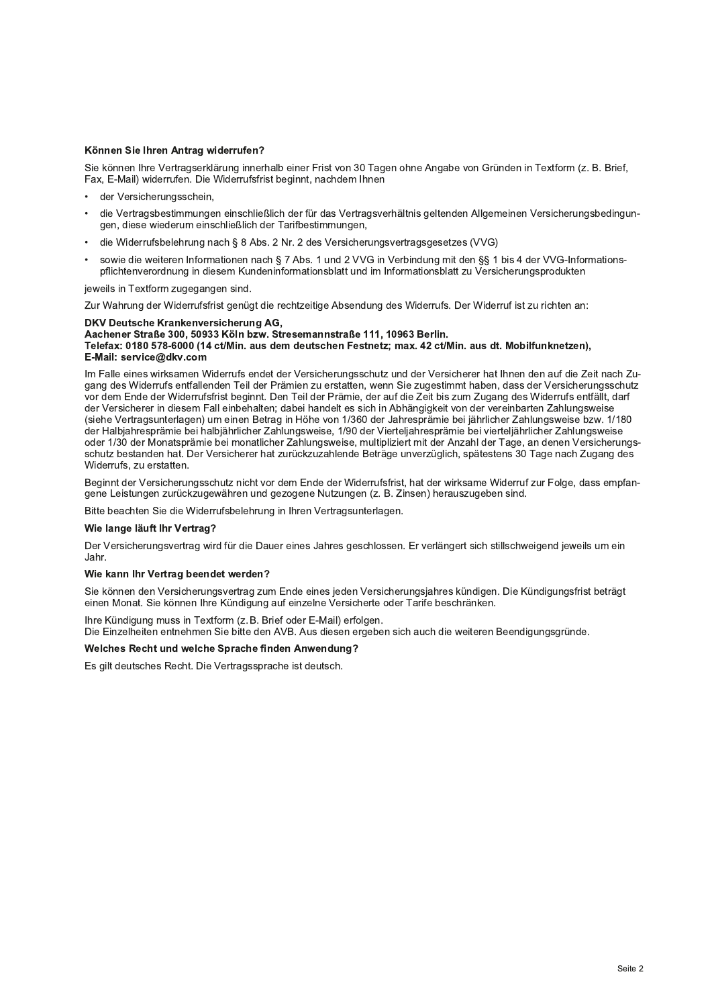# Konnen Sie Inren Antrag widerrufen?

Sie können Ihre Vertragserklärung innerhalb einer Frist von 30 Tagen ohne Angabe von Gründen in Textform (z. B. Brief,<br>Fax, E-Mail) widerrufen. Die Widerrufsfrist beginnt, nachdem Ihnen Sie können Sie Ihren Antrag widerrufen?<br>
Sie können Ihre Vertragserklärung innerhalb einer Frist von 30 Tage<br>
Fax, E-Mail) widerrufen. Die Widerrufsfrist beginnt, nachdem Ihnen<br>
• der Versicherungsschein,<br>
• die Vertragsbe

- der Versicherungsschein.
- önnen Sie Ihren Antrag widerrufen?<br>
ie können Ihre Vertragserklärung innerhalb einer Frist von 30 Tagen ohne Angabe von Gründen in Textform (z. B.<br>
ax, E-Mail) widerrufen. Die Widerrufsfrist beginnt, nachdem Ihnen<br>
der Ver die Vertragsbestimmungen einschließlich der für das Vertragsverhältnis geltenden Allgemeinen Versicherungsbedingungen, diese wiederum einschließlich der Tarifbestimmungen,
- die Widerrufsbelehrung nach § 8 Abs. 2 Nr. 2 des Versicherungsvertragsgesetzes (VVG)
- sowie die weiteren Informationen nach § 7 Abs. 1 und 2 VVG in Verbindung mit den §§ 1 bis 4 der VVG-Informationspflichtenverordnung in diesem Kundeninformationsblatt und im Informationsblatt zu Versicherungsprodukten

jeweils in Textform zugegangen sind

Zur Wahrung der Widerrufsfrist genügt die rechtzeitige Absendung des Widerrufs. Der Widerruf ist zu richten an:

# DKV Deutsche Krankenversicherung AG,

#### R W XYYVZY[XX\ ]^\_ Q ` QW aaaVaY[bXc \ \_

Telefax: 0180 578-6000 (14 ct/Min. aus dem deutschen Festhetz; max. 42 ct/Min. aus dt. Mobilfunkhetzen), E-Mail: service@dkv.com

jeweils in Textform zugegangen sind.<br>Zur Wahrung der Widerrufsfrist genügt die rechtzeitige Absendung des Widerrufs. Der Widerruf ist zu richten an:<br>**DKV Deutsche Krankenversicherung AG,**<br>**Achener Straße 300, 50933 Köln bz** gang des Widerrufs entfallenden Teil der Pramien zu erstatten, wenn Sie zugestimmt haben, dass der Versicherungsschutz vor dem Ende der Widerrufsfrist beginnt. Den Teil der Prämie, der auf die Zeit bis zum Zugang des Widerrufs entfällt, darf<br>der Versicherer in diesem Fall einbehalten; dabei handelt es sich in Abhängigkeit von der vereinbar **DKV Deutsche Krankenversicherung AG,**<br>**Aachener Straße 300, 50933 Köln bzw. Stresemannstraße 111, 10963 Berlin.**<br>**Telefax: 0180 578-6000 (14 ctl/Min. aus dem deutschen Festnetz; max. 42 ct/Min. aus dt. Mobilfunknetzen),<br><b>** (siehe Vertragsunterlagen) um einen Betrag in Höhe von 1/360 der Jahresprämie bei jährlicher Zahlungsweise bzw. 1/180 der Halbjahresprämie bei halbjährlicher Zahlungsweise, 1/90 der Vierteljahresprämie bei vierteljährlicher Zahlungsweise oder 1/30 der Monatsprämie bei monatlicher Zahlungsweise, multipliziert mit der Anzahl der Tage, an denen Versicherungsschutz bestanden hat. Der Versicherer hat zurückzuzahlende Beträge unverzüglich, spätestens 30 Tage nach Zugang des Widerrufs, zu erstatten. gang des wordruns entrallenden Teil der Prämien zu erstaten, wenn Sie zugestmmt naben, dass der versicherungsschutz<br>for dem Ende der Widerrufsfrist beginnt. Den Teil der Prämie, der auf die Zeit bis zum Zugang des Widerruf

gene Leistungen zurückzugewähren und gezogene Nutzungen (z. B. Zinsen) herauszugeben sind.

Bltte beachten Sie die Widerrufsbeiehrung in Inren Vertragsunterlagen.

# wie lange lauft inr vertrag?

Der Versicherungsvertrag wird für die Dauer eines Jahres geschlossen. Er verlängert sich stillschweigend jeweils um ein Jahr.

# wie kann inr vertrag beendet werden?

Sie konnen den Versicherungsvertrag zum Ende eines jeden Versicherungsjähres kundigen. Die Kundigungsfrist beträgt einen Monat. Sie konnen inre Kundigung auf einzelne Versicherte oder Tarife beschränken.

Ihre Kündigung muss in Textform (z. B. Brief oder E-Mail) erfolgen. Die Einzeineiten entnenmen Sie bitte den AVB. Aus diesen ergeben sich auch die weiteren Beendigungsgrunde.

## weicnes Recht und weiche Sprache finden Anwendung $\emph{?}$

Es gilt deutsches Recht. Die Vertragssprache ist deutsch.